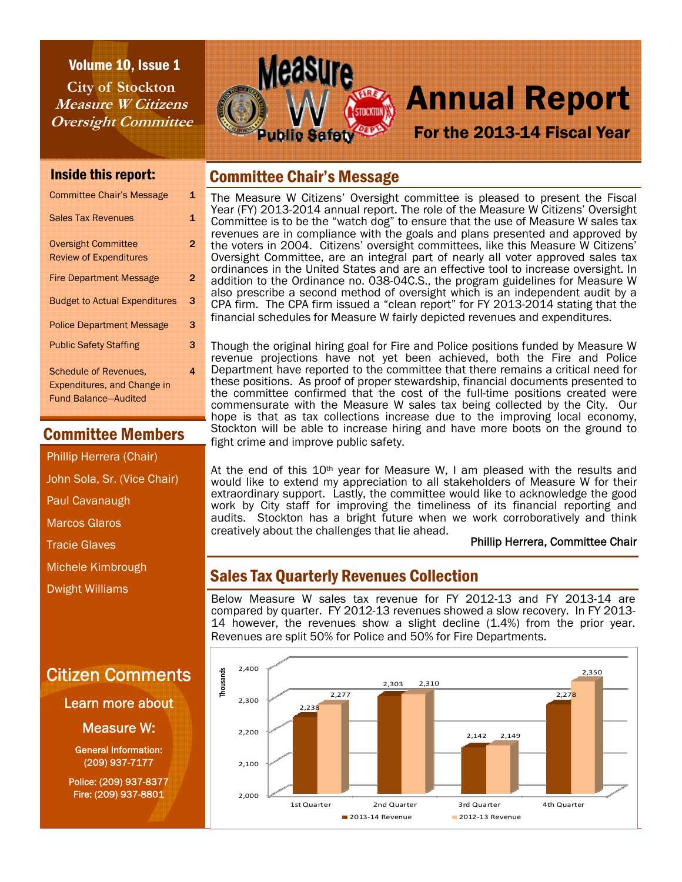Volume 10, Issue 1 **City of Stockton Measure W Citizens Oversight Committee** 



# For the 2013-14 Fiscal Year

### Inside this report:

| <b>Sales Tax Revenues</b><br>1<br><b>Oversight Committee</b><br>$\overline{2}$<br><b>Review of Expenditures</b><br><b>Fire Department Message</b><br>2<br>3<br><b>Budget to Actual Expenditures</b><br>3<br><b>Police Department Message</b><br>3<br><b>Public Safety Staffing</b><br><b>Schedule of Revenues.</b><br>4<br><b>Expenditures, and Change in</b><br><b>Fund Balance-Audited</b> | <b>Committee Chair's Message</b> | 1 |
|----------------------------------------------------------------------------------------------------------------------------------------------------------------------------------------------------------------------------------------------------------------------------------------------------------------------------------------------------------------------------------------------|----------------------------------|---|
|                                                                                                                                                                                                                                                                                                                                                                                              |                                  |   |
|                                                                                                                                                                                                                                                                                                                                                                                              |                                  |   |
|                                                                                                                                                                                                                                                                                                                                                                                              |                                  |   |
|                                                                                                                                                                                                                                                                                                                                                                                              |                                  |   |
|                                                                                                                                                                                                                                                                                                                                                                                              |                                  |   |
|                                                                                                                                                                                                                                                                                                                                                                                              |                                  |   |
|                                                                                                                                                                                                                                                                                                                                                                                              |                                  |   |

## Committee Members

Phillip Herrera (Chair)

John Sola, Sr. (Vice Chair)

Paul Cavanaugh

Marcos Glaros

Tracie Glaves

Michele Kimbrough

Dwight Williams

# Citizen Comments

Learn more about

Measure W:

General Information: (209) 937-7177

Police: (209) 937-8377 Fire: (209) 937-8801

## Committee Chair's Message

The Measure W Citizens' Oversight committee is pleased to present the Fiscal Year (FY) 2013-2014 annual report. The role of the Measure W Citizens' Oversight Committee is to be the "watch dog" to ensure that the use of Measure W sales tax revenues are in compliance with the goals and plans presented and approved by the voters in 2004. Citizens' oversight committees, like this Measure W Citizens' Oversight Committee, are an integral part of nearly all voter approved sales tax ordinances in the United States and are an effective tool to increase oversight. In addition to the Ordinance no. 038-04C.S., the program guidelines for Measure W also prescribe a second method of oversight which is an independent audit by a CPA firm. The CPA firm issued a "clean report" for FY 2013-2014 stating that the financial schedules for Measure W fairly depicted revenues and expenditures.

Though the original hiring goal for Fire and Police positions funded by Measure W revenue projections have not yet been achieved, both the Fire and Police Department have reported to the committee that there remains a critical need for these positions. As proof of proper stewardship, financial documents presented to the committee confirmed that the cost of the full-time positions created were commensurate with the Measure W sales tax being collected by the City. Our hope is that as tax collections increase due to the improving local economy, Stockton will be able to increase hiring and have more boots on the ground to fight crime and improve public safety.

At the end of this  $10<sup>th</sup>$  year for Measure W, I am pleased with the results and would like to extend my appreciation to all stakeholders of Measure W for their extraordinary support. Lastly, the committee would like to acknowledge the good work by City staff for improving the timeliness of its financial reporting and audits. Stockton has a bright future when we work corroboratively and think creatively about the challenges that lie ahead.

#### Phillip Herrera, Committee Chair

# Sales Tax Quarterly Revenues Collection

Below Measure W sales tax revenue for FY 2012-13 and FY 2013-14 are compared by quarter. FY 2012-13 revenues showed a slow recovery. In FY 2013- 14 however, the revenues show a slight decline (1.4%) from the prior year. Revenues are split 50% for Police and 50% for Fire Departments.

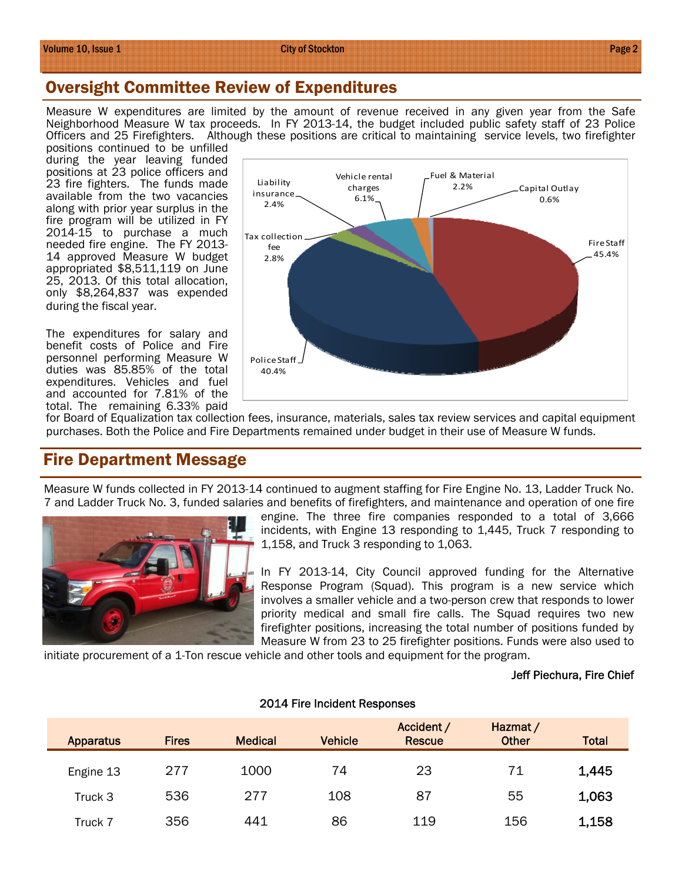## Oversight Committee Review of Expenditures

Measure W expenditures are limited by the amount of revenue received in any given year from the Safe Neighborhood Measure W tax proceeds. In FY 2013-14, the budget included public safety staff of 23 Police Officers and 25 Firefighters. Although these positions are critical to maintaining service levels, two firefighter

positions continued to be unfilled during the year leaving funded positions at 23 police officers and 23 fire fighters. The funds made available from the two vacancies along with prior year surplus in the fire program will be utilized in FY 2014-15 to purchase a much needed fire engine. The FY 2013- 14 approved Measure W budget appropriated \$8,511,119 on June 25, 2013. Of this total allocation, only \$8,264,837 was expended during the fiscal year.

The expenditures for salary and benefit costs of Police and Fire personnel performing Measure W duties was 85.85% of the total expenditures. Vehicles and fuel and accounted for 7.81% of the total. The remaining 6.33% paid



for Board of Equalization tax collection fees, insurance, materials, sales tax review services and capital equipment purchases. Both the Police and Fire Departments remained under budget in their use of Measure W funds.

## Fire Department Message

Measure W funds collected in FY 2013-14 continued to augment staffing for Fire Engine No. 13, Ladder Truck No. 7 and Ladder Truck No. 3, funded salaries and benefits of firefighters, and maintenance and operation of one fire



engine. The three fire companies responded to a total of 3,666 incidents, with Engine 13 responding to 1,445, Truck 7 responding to 1,158, and Truck 3 responding to 1,063.

In FY 2013-14, City Council approved funding for the Alternative Response Program (Squad). This program is a new service which involves a smaller vehicle and a two-person crew that responds to lower priority medical and small fire calls. The Squad requires two new firefighter positions, increasing the total number of positions funded by Measure W from 23 to 25 firefighter positions. Funds were also used to

initiate procurement of a 1-Ton rescue vehicle and other tools and equipment for the program.

#### Jeff Piechura, Fire Chief

| <b>Apparatus</b> | <b>Fires</b> | <b>Medical</b> | <b>Vehicle</b> | Accident /<br><b>Rescue</b> | Hazmat /<br><b>Other</b> | <b>Total</b> |
|------------------|--------------|----------------|----------------|-----------------------------|--------------------------|--------------|
| Engine 13        | 277          | 1000           | 74             | 23                          | 71                       | 1,445        |
| Truck 3          | 536          | 277            | 108            | 87                          | 55                       | 1,063        |
| Truck 7          | 356          | 441            | 86             | 119                         | 156                      | 1,158        |

#### 2014 Fire Incident Responses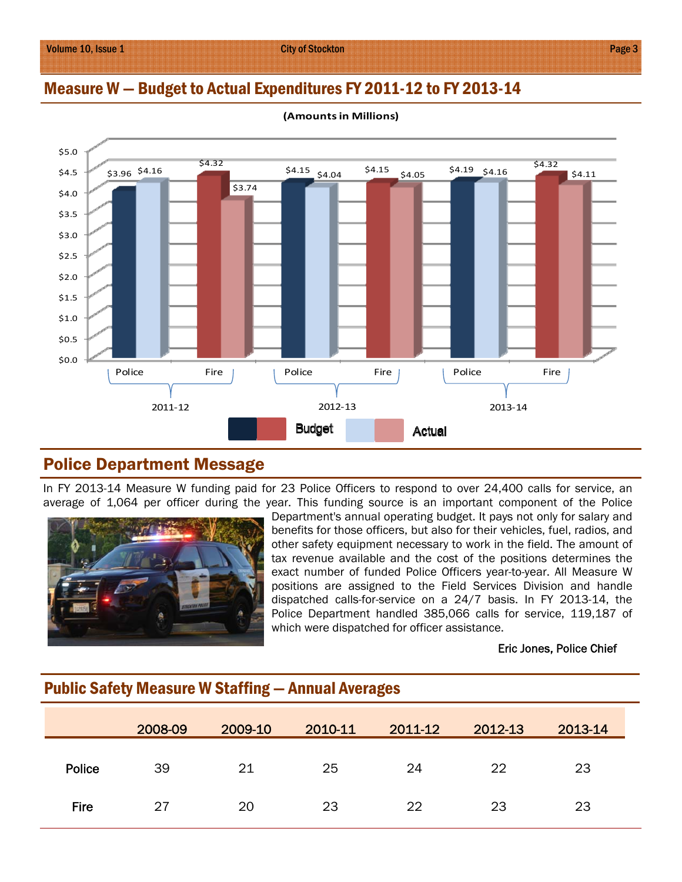## Measure W — Budget to Actual Expenditures FY 2011-12 to FY 2013-14



**(Amountsin Millions)**

## Police Department Message

In FY 2013-14 Measure W funding paid for 23 Police Officers to respond to over 24,400 calls for service, an average of 1,064 per officer during the year. This funding source is an important component of the Police



Department's annual operating budget. It pays not only for salary and benefits for those officers, but also for their vehicles, fuel, radios, and other safety equipment necessary to work in the field. The amount of tax revenue available and the cost of the positions determines the exact number of funded Police Officers year-to-year. All Measure W positions are assigned to the Field Services Division and handle dispatched calls-for-service on a 24/7 basis. In FY 2013-14, the Police Department handled 385,066 calls for service, 119,187 of which were dispatched for officer assistance.

#### Eric Jones, Police Chief

|             | <u>. assert can cap modelled in calling a</u> |         |         |         |         |         |  |
|-------------|-----------------------------------------------|---------|---------|---------|---------|---------|--|
|             | 2008-09                                       | 2009-10 | 2010-11 | 2011-12 | 2012-13 | 2013-14 |  |
| Police      | 39                                            | 21      | 25      | 24      | 22      | 23      |  |
| <b>Fire</b> | 27                                            | 20      | 23      | 22      | 23      | 23      |  |

## Public Safety Measure W Staffing — Annual Averages